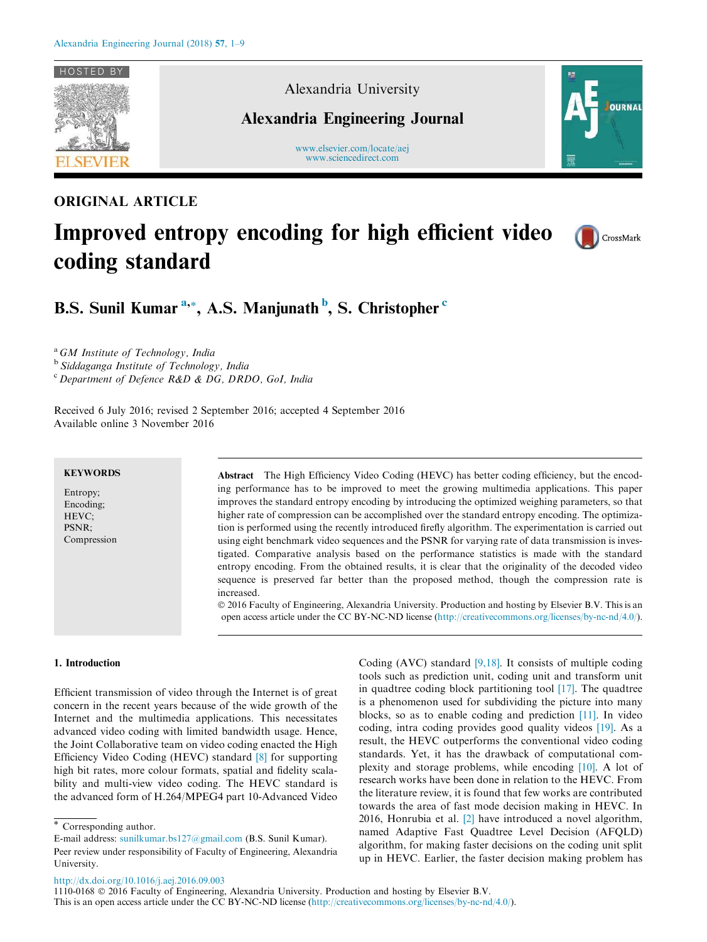

ORIGINAL ARTICLE

# Alexandria University

Alexandria Engineering Journal

www.elsevier.com/locate/aej www.sciencedirect.com



# Improved entropy encoding for high efficient video coding standard



B.S. Sunil Kumar<sup>a,\*</sup>, A.S. Manjunath <sup>b</sup>, S. Christopher <sup>c</sup>

<sup>a</sup> GM Institute of Technology, India

<sup>b</sup> Siddaganga Institute of Technology, India

 $c$  Department of Defence R&D & DG, DRDO, GoI, India

Received 6 July 2016; revised 2 September 2016; accepted 4 September 2016 Available online 3 November 2016

# **KEYWORDS**

Entropy; Encoding; HEVC; PSNR; Compression

Abstract The High Efficiency Video Coding (HEVC) has better coding efficiency, but the encoding performance has to be improved to meet the growing multimedia applications. This paper improves the standard entropy encoding by introducing the optimized weighing parameters, so that higher rate of compression can be accomplished over the standard entropy encoding. The optimization is performed using the recently introduced firefly algorithm. The experimentation is carried out using eight benchmark video sequences and the PSNR for varying rate of data transmission is investigated. Comparative analysis based on the performance statistics is made with the standard entropy encoding. From the obtained results, it is clear that the originality of the decoded video sequence is preserved far better than the proposed method, though the compression rate is increased.

 2016 Faculty of Engineering, Alexandria University. Production and hosting by Elsevier B.V. This is an open access article under the CC BY-NC-ND license (http://creativecommons.org/licenses/by-nc-nd/4.0/).

# 1. Introduction

Efficient transmission of video through the Internet is of great concern in the recent years because of the wide growth of the Internet and the multimedia applications. This necessitates advanced video coding with limited bandwidth usage. Hence, the Joint Collaborative team on video coding enacted the High Efficiency Video Coding (HEVC) standard [8] for supporting high bit rates, more colour formats, spatial and fidelity scalability and multi-view video coding. The HEVC standard is the advanced form of H.264/MPEG4 part 10-Advanced Video

\* Corresponding author.

Coding (AVC) standard  $[9,18]$ . It consists of multiple coding tools such as prediction unit, coding unit and transform unit in quadtree coding block partitioning tool [17]. The quadtree is a phenomenon used for subdividing the picture into many blocks, so as to enable coding and prediction [11]. In video coding, intra coding provides good quality videos [19]. As a result, the HEVC outperforms the conventional video coding standards. Yet, it has the drawback of computational complexity and storage problems, while encoding [10]. A lot of research works have been done in relation to the HEVC. From the literature review, it is found that few works are contributed towards the area of fast mode decision making in HEVC. In 2016, Honrubia et al. [2] have introduced a novel algorithm, named Adaptive Fast Quadtree Level Decision (AFQLD) algorithm, for making faster decisions on the coding unit split up in HEVC. Earlier, the faster decision making problem has

http://dx.doi.org/10.1016/j.aej.2016.09.003

1110-0168 2016 Faculty of Engineering, Alexandria University. Production and hosting by Elsevier B.V.

This is an open access article under the CC BY-NC-ND license (http://creativecommons.org/licenses/by-nc-nd/4.0/).

E-mail address: sunilkumar.bs127@gmail.com (B.S. Sunil Kumar). Peer review under responsibility of Faculty of Engineering, Alexandria University.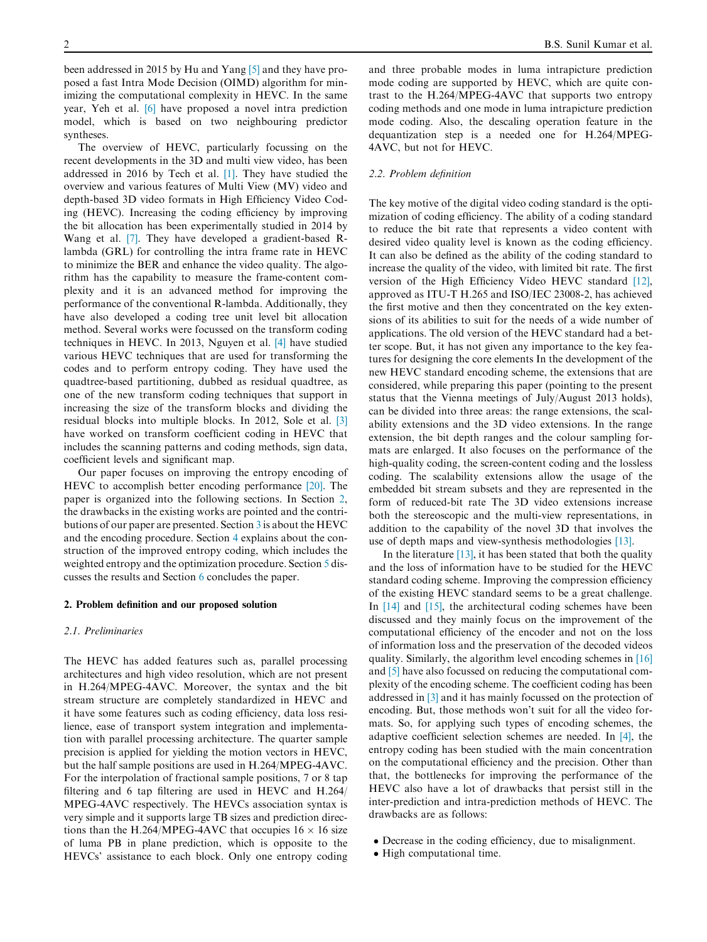been addressed in 2015 by Hu and Yang [5] and they have proposed a fast Intra Mode Decision (OIMD) algorithm for minimizing the computational complexity in HEVC. In the same year, Yeh et al. [6] have proposed a novel intra prediction model, which is based on two neighbouring predictor syntheses.

The overview of HEVC, particularly focussing on the recent developments in the 3D and multi view video, has been addressed in 2016 by Tech et al. [1]. They have studied the overview and various features of Multi View (MV) video and depth-based 3D video formats in High Efficiency Video Coding (HEVC). Increasing the coding efficiency by improving the bit allocation has been experimentally studied in 2014 by Wang et al. [7]. They have developed a gradient-based Rlambda (GRL) for controlling the intra frame rate in HEVC to minimize the BER and enhance the video quality. The algorithm has the capability to measure the frame-content complexity and it is an advanced method for improving the performance of the conventional R-lambda. Additionally, they have also developed a coding tree unit level bit allocation method. Several works were focussed on the transform coding techniques in HEVC. In 2013, Nguyen et al. [4] have studied various HEVC techniques that are used for transforming the codes and to perform entropy coding. They have used the quadtree-based partitioning, dubbed as residual quadtree, as one of the new transform coding techniques that support in increasing the size of the transform blocks and dividing the residual blocks into multiple blocks. In 2012, Sole et al. [3] have worked on transform coefficient coding in HEVC that includes the scanning patterns and coding methods, sign data, coefficient levels and significant map.

Our paper focuses on improving the entropy encoding of HEVC to accomplish better encoding performance [20]. The paper is organized into the following sections. In Section 2, the drawbacks in the existing works are pointed and the contributions of our paper are presented. Section 3 is about the HEVC and the encoding procedure. Section 4 explains about the construction of the improved entropy coding, which includes the weighted entropy and the optimization procedure. Section 5 discusses the results and Section 6 concludes the paper.

#### 2. Problem definition and our proposed solution

# 2.1. Preliminaries

The HEVC has added features such as, parallel processing architectures and high video resolution, which are not present in H.264/MPEG-4AVC. Moreover, the syntax and the bit stream structure are completely standardized in HEVC and it have some features such as coding efficiency, data loss resilience, ease of transport system integration and implementation with parallel processing architecture. The quarter sample precision is applied for yielding the motion vectors in HEVC, but the half sample positions are used in H.264/MPEG-4AVC. For the interpolation of fractional sample positions, 7 or 8 tap filtering and 6 tap filtering are used in HEVC and H.264/ MPEG-4AVC respectively. The HEVCs association syntax is very simple and it supports large TB sizes and prediction directions than the H.264/MPEG-4AVC that occupies  $16 \times 16$  size of luma PB in plane prediction, which is opposite to the HEVCs' assistance to each block. Only one entropy coding

and three probable modes in luma intrapicture prediction mode coding are supported by HEVC, which are quite contrast to the H.264/MPEG-4AVC that supports two entropy coding methods and one mode in luma intrapicture prediction mode coding. Also, the descaling operation feature in the dequantization step is a needed one for H.264/MPEG-4AVC, but not for HEVC.

#### 2.2. Problem definition

The key motive of the digital video coding standard is the optimization of coding efficiency. The ability of a coding standard to reduce the bit rate that represents a video content with desired video quality level is known as the coding efficiency. It can also be defined as the ability of the coding standard to increase the quality of the video, with limited bit rate. The first version of the High Efficiency Video HEVC standard [12], approved as ITU-T H.265 and ISO/IEC 23008-2, has achieved the first motive and then they concentrated on the key extensions of its abilities to suit for the needs of a wide number of applications. The old version of the HEVC standard had a better scope. But, it has not given any importance to the key features for designing the core elements In the development of the new HEVC standard encoding scheme, the extensions that are considered, while preparing this paper (pointing to the present status that the Vienna meetings of July/August 2013 holds), can be divided into three areas: the range extensions, the scalability extensions and the 3D video extensions. In the range extension, the bit depth ranges and the colour sampling formats are enlarged. It also focuses on the performance of the high-quality coding, the screen-content coding and the lossless coding. The scalability extensions allow the usage of the embedded bit stream subsets and they are represented in the form of reduced-bit rate The 3D video extensions increase both the stereoscopic and the multi-view representations, in addition to the capability of the novel 3D that involves the use of depth maps and view-synthesis methodologies [13].

In the literature  $[13]$ , it has been stated that both the quality and the loss of information have to be studied for the HEVC standard coding scheme. Improving the compression efficiency of the existing HEVC standard seems to be a great challenge. In [14] and [15], the architectural coding schemes have been discussed and they mainly focus on the improvement of the computational efficiency of the encoder and not on the loss of information loss and the preservation of the decoded videos quality. Similarly, the algorithm level encoding schemes in [16] and [5] have also focussed on reducing the computational complexity of the encoding scheme. The coefficient coding has been addressed in [3] and it has mainly focussed on the protection of encoding. But, those methods won't suit for all the video formats. So, for applying such types of encoding schemes, the adaptive coefficient selection schemes are needed. In [4], the entropy coding has been studied with the main concentration on the computational efficiency and the precision. Other than that, the bottlenecks for improving the performance of the HEVC also have a lot of drawbacks that persist still in the inter-prediction and intra-prediction methods of HEVC. The drawbacks are as follows:

- Decrease in the coding efficiency, due to misalignment.
- High computational time.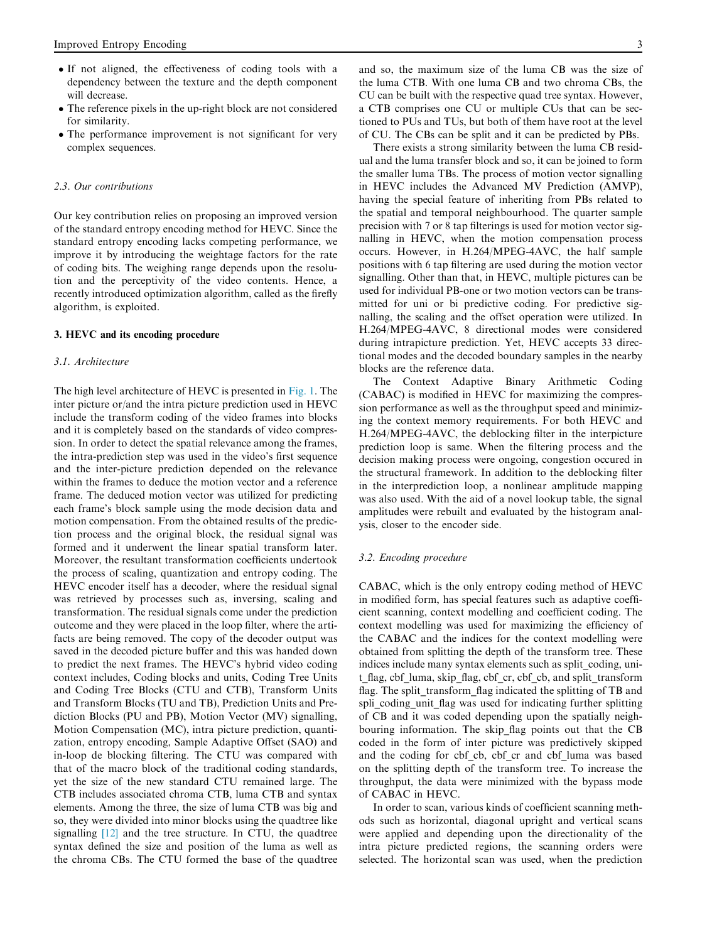- If not aligned, the effectiveness of coding tools with a dependency between the texture and the depth component will decrease.
- The reference pixels in the up-right block are not considered for similarity.
- The performance improvement is not significant for very complex sequences.

### 2.3. Our contributions

Our key contribution relies on proposing an improved version of the standard entropy encoding method for HEVC. Since the standard entropy encoding lacks competing performance, we improve it by introducing the weightage factors for the rate of coding bits. The weighing range depends upon the resolution and the perceptivity of the video contents. Hence, a recently introduced optimization algorithm, called as the firefly algorithm, is exploited.

# 3. HEVC and its encoding procedure

# 3.1. Architecture

The high level architecture of HEVC is presented in Fig. 1. The inter picture or/and the intra picture prediction used in HEVC include the transform coding of the video frames into blocks and it is completely based on the standards of video compression. In order to detect the spatial relevance among the frames, the intra-prediction step was used in the video's first sequence and the inter-picture prediction depended on the relevance within the frames to deduce the motion vector and a reference frame. The deduced motion vector was utilized for predicting each frame's block sample using the mode decision data and motion compensation. From the obtained results of the prediction process and the original block, the residual signal was formed and it underwent the linear spatial transform later. Moreover, the resultant transformation coefficients undertook the process of scaling, quantization and entropy coding. The HEVC encoder itself has a decoder, where the residual signal was retrieved by processes such as, inversing, scaling and transformation. The residual signals come under the prediction outcome and they were placed in the loop filter, where the artifacts are being removed. The copy of the decoder output was saved in the decoded picture buffer and this was handed down to predict the next frames. The HEVC's hybrid video coding context includes, Coding blocks and units, Coding Tree Units and Coding Tree Blocks (CTU and CTB), Transform Units and Transform Blocks (TU and TB), Prediction Units and Prediction Blocks (PU and PB), Motion Vector (MV) signalling, Motion Compensation (MC), intra picture prediction, quantization, entropy encoding, Sample Adaptive Offset (SAO) and in-loop de blocking filtering. The CTU was compared with that of the macro block of the traditional coding standards, yet the size of the new standard CTU remained large. The CTB includes associated chroma CTB, luma CTB and syntax elements. Among the three, the size of luma CTB was big and so, they were divided into minor blocks using the quadtree like signalling [12] and the tree structure. In CTU, the quadtree syntax defined the size and position of the luma as well as the chroma CBs. The CTU formed the base of the quadtree and so, the maximum size of the luma CB was the size of the luma CTB. With one luma CB and two chroma CBs, the CU can be built with the respective quad tree syntax. However, a CTB comprises one CU or multiple CUs that can be sectioned to PUs and TUs, but both of them have root at the level of CU. The CBs can be split and it can be predicted by PBs.

There exists a strong similarity between the luma CB residual and the luma transfer block and so, it can be joined to form the smaller luma TBs. The process of motion vector signalling in HEVC includes the Advanced MV Prediction (AMVP), having the special feature of inheriting from PBs related to the spatial and temporal neighbourhood. The quarter sample precision with 7 or 8 tap filterings is used for motion vector signalling in HEVC, when the motion compensation process occurs. However, in H.264/MPEG-4AVC, the half sample positions with 6 tap filtering are used during the motion vector signalling. Other than that, in HEVC, multiple pictures can be used for individual PB-one or two motion vectors can be transmitted for uni or bi predictive coding. For predictive signalling, the scaling and the offset operation were utilized. In H.264/MPEG-4AVC, 8 directional modes were considered during intrapicture prediction. Yet, HEVC accepts 33 directional modes and the decoded boundary samples in the nearby blocks are the reference data.

The Context Adaptive Binary Arithmetic Coding (CABAC) is modified in HEVC for maximizing the compression performance as well as the throughput speed and minimizing the context memory requirements. For both HEVC and H.264/MPEG-4AVC, the deblocking filter in the interpicture prediction loop is same. When the filtering process and the decision making process were ongoing, congestion occured in the structural framework. In addition to the deblocking filter in the interprediction loop, a nonlinear amplitude mapping was also used. With the aid of a novel lookup table, the signal amplitudes were rebuilt and evaluated by the histogram analysis, closer to the encoder side.

# 3.2. Encoding procedure

CABAC, which is the only entropy coding method of HEVC in modified form, has special features such as adaptive coefficient scanning, context modelling and coefficient coding. The context modelling was used for maximizing the efficiency of the CABAC and the indices for the context modelling were obtained from splitting the depth of the transform tree. These indices include many syntax elements such as split\_coding, unit flag, cbf luma, skip flag, cbf cr, cbf cb, and split transform flag. The split transform flag indicated the splitting of TB and spli\_coding\_unit\_flag was used for indicating further splitting of CB and it was coded depending upon the spatially neighbouring information. The skip\_flag points out that the CB coded in the form of inter picture was predictively skipped and the coding for cbf\_cb, cbf\_cr and cbf\_luma was based on the splitting depth of the transform tree. To increase the throughput, the data were minimized with the bypass mode of CABAC in HEVC.

In order to scan, various kinds of coefficient scanning methods such as horizontal, diagonal upright and vertical scans were applied and depending upon the directionality of the intra picture predicted regions, the scanning orders were selected. The horizontal scan was used, when the prediction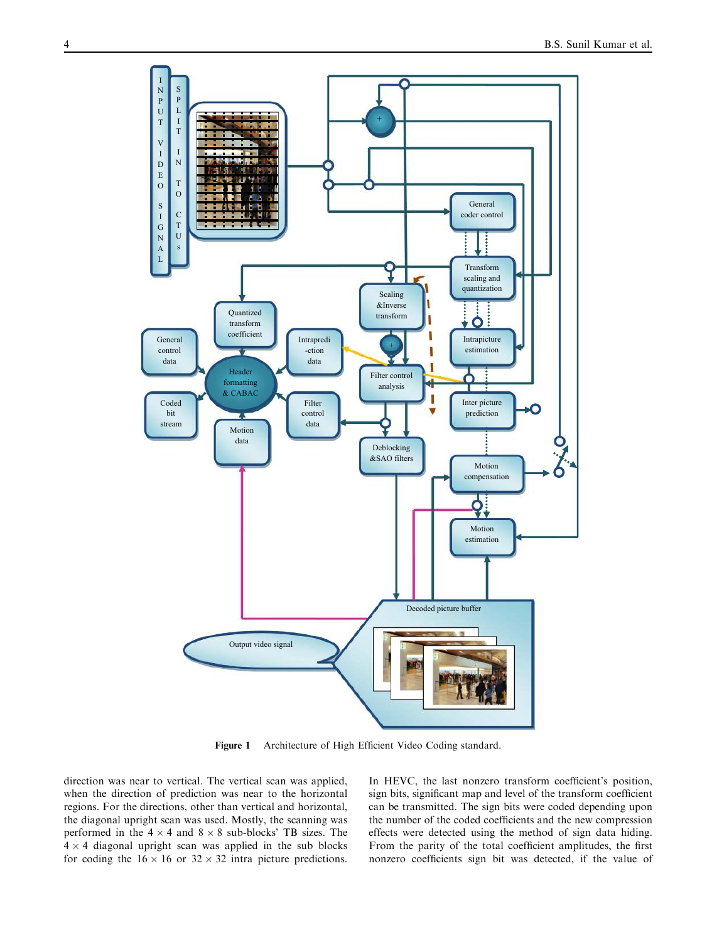

Figure 1 Architecture of High Efficient Video Coding standard.

direction was near to vertical. The vertical scan was applied, when the direction of prediction was near to the horizontal regions. For the directions, other than vertical and horizontal, the diagonal upright scan was used. Mostly, the scanning was performed in the  $4 \times 4$  and  $8 \times 8$  sub-blocks' TB sizes. The  $4 \times 4$  diagonal upright scan was applied in the sub blocks for coding the  $16 \times 16$  or  $32 \times 32$  intra picture predictions. In HEVC, the last nonzero transform coefficient's position, sign bits, significant map and level of the transform coefficient can be transmitted. The sign bits were coded depending upon the number of the coded coefficients and the new compression effects were detected using the method of sign data hiding. From the parity of the total coefficient amplitudes, the first nonzero coefficients sign bit was detected, if the value of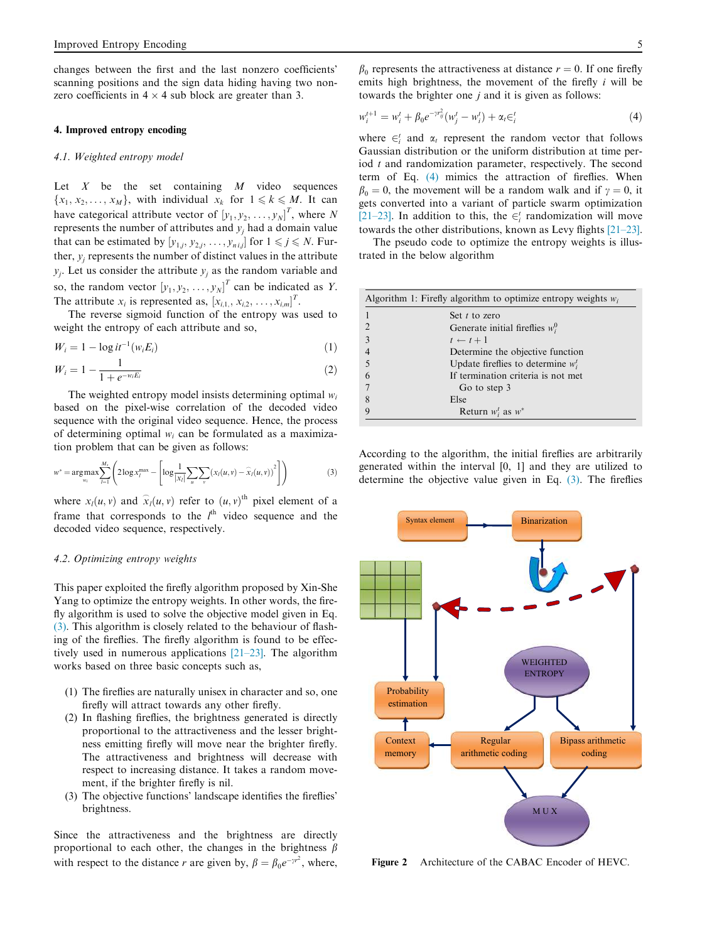changes between the first and the last nonzero coefficients' scanning positions and the sign data hiding having two nonzero coefficients in  $4 \times 4$  sub block are greater than 3.

# 4. Improved entropy encoding

#### 4.1. Weighted entropy model

Let  $X$  be the set containing  $M$  video sequences  $\{x_1, x_2, \ldots, x_M\}$ , with individual  $x_k$  for  $1 \le k \le M$ . It can have categorical attribute vector of  $[y_1, y_2, \dots, y_N]^T$ , where N represents the number of attributes and  $y_i$  had a domain value that can be estimated by  $[y_{1,j}, y_{2,j}, \ldots, y_{n,j}]$  for  $1 \leq j \leq N$ . Further,  $y_j$  represents the number of distinct values in the attribute  $y_j$ . Let us consider the attribute  $y_j$  as the random variable and so, the random vector  $[y_1, y_2, ..., y_N]^T$  can be indicated as Y. The attribute  $x_i$  is represented as,  $[x_{i,1}, x_{i,2}, \ldots, x_{i,m}]^T$ .

The reverse sigmoid function of the entropy was used to weight the entropy of each attribute and so,

$$
W_i = 1 - \log it^{-1}(w_i E_i) \tag{1}
$$

$$
W_i = 1 - \frac{1}{1 + e^{-w_i E_i}}\tag{2}
$$

The weighted entropy model insists determining optimal  $w_i$ based on the pixel-wise correlation of the decoded video sequence with the original video sequence. Hence, the process of determining optimal  $w_i$  can be formulated as a maximization problem that can be given as follows:

$$
w^* = \underset{w_i}{\arg\max} \sum_{l=1}^{M_s} \left( 2\log x_l^{\max} - \left[ \log \frac{1}{|x_l|} \sum_u \sum_v (x_l(u, v) - \widehat{x}_l(u, v))^2 \right] \right) \tag{3}
$$

where  $x_l(u, v)$  and  $\hat{x}_l(u, v)$  refer to  $(u, v)$ <sup>th</sup> pixel element of a frame that corresponds to the  $l^{\text{th}}$  video sequence and the decoded video sequence, respectively.

#### 4.2. Optimizing entropy weights

This paper exploited the firefly algorithm proposed by Xin-She Yang to optimize the entropy weights. In other words, the firefly algorithm is used to solve the objective model given in Eq. (3). This algorithm is closely related to the behaviour of flashing of the fireflies. The firefly algorithm is found to be effectively used in numerous applications [21–23]. The algorithm works based on three basic concepts such as,

- (1) The fireflies are naturally unisex in character and so, one firefly will attract towards any other firefly.
- (2) In flashing fireflies, the brightness generated is directly proportional to the attractiveness and the lesser brightness emitting firefly will move near the brighter firefly. The attractiveness and brightness will decrease with respect to increasing distance. It takes a random movement, if the brighter firefly is nil.
- (3) The objective functions' landscape identifies the fireflies' brightness.

Since the attractiveness and the brightness are directly proportional to each other, the changes in the brightness  $\beta$ with respect to the distance r are given by,  $\beta = \beta_0 e^{-\gamma r^2}$ , where,

 $\beta_0$  represents the attractiveness at distance  $r = 0$ . If one firefly emits high brightness, the movement of the firefly  $i$  will be towards the brighter one  $j$  and it is given as follows:

$$
w_i^{t+1} = w_i^t + \beta_0 e^{-\gamma r_{ij}^2} (w_j^t - w_i^t) + \alpha_t \epsilon_i^t
$$
 (4)

where  $\epsilon_i^t$  and  $\alpha_t$  represent the random vector that follows Gaussian distribution or the uniform distribution at time period t and randomization parameter, respectively. The second term of Eq. (4) mimics the attraction of fireflies. When  $\beta_0 = 0$ , the movement will be a random walk and if  $\gamma = 0$ , it gets converted into a variant of particle swarm optimization [21–23]. In addition to this, the  $\epsilon_i^t$  randomization will move towards the other distributions, known as Levy flights [21–23].

The pseudo code to optimize the entropy weights is illustrated in the below algorithm

|               | Algorithm 1: Firefly algorithm to optimize entropy weights $w_i$ |
|---------------|------------------------------------------------------------------|
|               | Set $t$ to zero                                                  |
| $\mathcal{D}$ | Generate initial fireflies $w_i^0$                               |
| 3             | $t \leftarrow t + 1$                                             |
|               | Determine the objective function                                 |
| 5             | Update fireflies to determine $w_i^t$                            |
| 6             | If termination criteria is not met                               |
|               | Go to step 3                                                     |
| 8             | Else                                                             |
| q             | Return $w_i^t$ as $w^*$                                          |

According to the algorithm, the initial fireflies are arbitrarily generated within the interval [0, 1] and they are utilized to determine the objective value given in Eq. (3). The fireflies



Figure 2 Architecture of the CABAC Encoder of HEVC.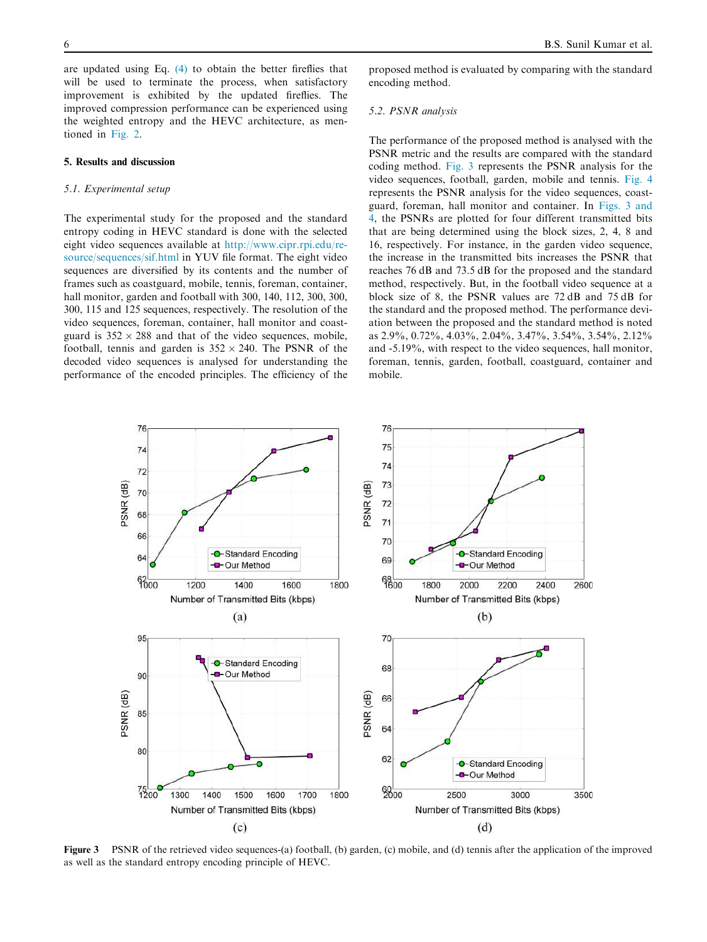are updated using Eq. (4) to obtain the better fireflies that will be used to terminate the process, when satisfactory improvement is exhibited by the updated fireflies. The improved compression performance can be experienced using the weighted entropy and the HEVC architecture, as mentioned in Fig. 2.

# 5. Results and discussion

# 5.1. Experimental setup

The experimental study for the proposed and the standard entropy coding in HEVC standard is done with the selected eight video sequences available at http://www.cipr.rpi.edu/resource/sequences/sif.html in YUV file format. The eight video sequences are diversified by its contents and the number of frames such as coastguard, mobile, tennis, foreman, container, hall monitor, garden and football with 300, 140, 112, 300, 300, 300, 115 and 125 sequences, respectively. The resolution of the video sequences, foreman, container, hall monitor and coastguard is  $352 \times 288$  and that of the video sequences, mobile, football, tennis and garden is  $352 \times 240$ . The PSNR of the decoded video sequences is analysed for understanding the performance of the encoded principles. The efficiency of the

proposed method is evaluated by comparing with the standard encoding method.

# 5.2. PSNR analysis

The performance of the proposed method is analysed with the PSNR metric and the results are compared with the standard coding method. Fig. 3 represents the PSNR analysis for the video sequences, football, garden, mobile and tennis. Fig. 4 represents the PSNR analysis for the video sequences, coastguard, foreman, hall monitor and container. In Figs. 3 and 4, the PSNRs are plotted for four different transmitted bits that are being determined using the block sizes, 2, 4, 8 and 16, respectively. For instance, in the garden video sequence, the increase in the transmitted bits increases the PSNR that reaches 76 dB and 73.5 dB for the proposed and the standard method, respectively. But, in the football video sequence at a block size of 8, the PSNR values are 72 dB and 75 dB for the standard and the proposed method. The performance deviation between the proposed and the standard method is noted as 2.9%, 0.72%, 4.03%, 2.04%, 3.47%, 3.54%, 3.54%, 2.12% and -5.19%, with respect to the video sequences, hall monitor, foreman, tennis, garden, football, coastguard, container and mobile.



Figure 3 PSNR of the retrieved video sequences-(a) football, (b) garden, (c) mobile, and (d) tennis after the application of the improved as well as the standard entropy encoding principle of HEVC.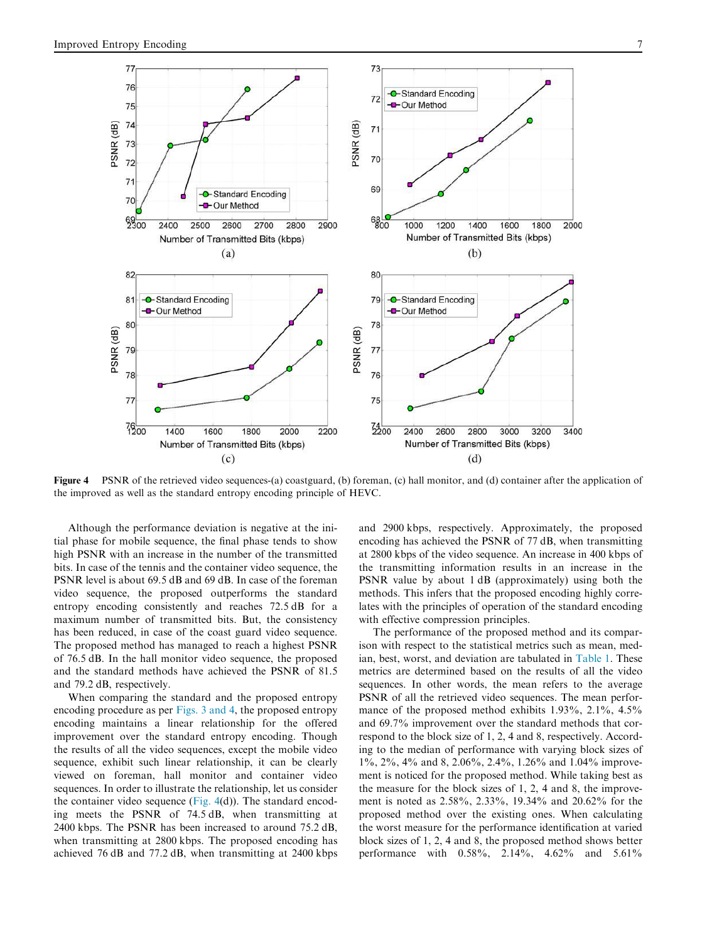$\overline{7}$ 

76

75  $74$ 

73

 $72$  $7<sup>1</sup>$ 

70

82

81

80

 $79$ 

78

 $\overline{7}$ 

 $76 - 700$ 

1400

1600

1800

Number of Transmitted Bits (kbps)

PSNR (dB)

**5900** 

 $2400$ 

PSNR (dB)



 $(d)$  $(c)$ Figure 4 PSNR of the retrieved video sequences-(a) coastguard, (b) foreman, (c) hall monitor, and (d) container after the application of the improved as well as the standard entropy encoding principle of HEVC.

2200

2000

75

 $\frac{74}{2200}$ 

2400

2600

2800

Number of Transmitted Bits (kbps)

3000

3200

3400

Although the performance deviation is negative at the initial phase for mobile sequence, the final phase tends to show high PSNR with an increase in the number of the transmitted bits. In case of the tennis and the container video sequence, the PSNR level is about 69.5 dB and 69 dB. In case of the foreman video sequence, the proposed outperforms the standard entropy encoding consistently and reaches 72.5 dB for a maximum number of transmitted bits. But, the consistency has been reduced, in case of the coast guard video sequence. The proposed method has managed to reach a highest PSNR of 76.5 dB. In the hall monitor video sequence, the proposed and the standard methods have achieved the PSNR of 81.5 and 79.2 dB, respectively.

When comparing the standard and the proposed entropy encoding procedure as per Figs. 3 and 4, the proposed entropy encoding maintains a linear relationship for the offered improvement over the standard entropy encoding. Though the results of all the video sequences, except the mobile video sequence, exhibit such linear relationship, it can be clearly viewed on foreman, hall monitor and container video sequences. In order to illustrate the relationship, let us consider the container video sequence (Fig. 4(d)). The standard encoding meets the PSNR of 74.5 dB, when transmitting at 2400 kbps. The PSNR has been increased to around 75.2 dB, when transmitting at 2800 kbps. The proposed encoding has achieved 76 dB and 77.2 dB, when transmitting at 2400 kbps and 2900 kbps, respectively. Approximately, the proposed encoding has achieved the PSNR of 77 dB, when transmitting at 2800 kbps of the video sequence. An increase in 400 kbps of the transmitting information results in an increase in the PSNR value by about 1 dB (approximately) using both the methods. This infers that the proposed encoding highly correlates with the principles of operation of the standard encoding with effective compression principles.

The performance of the proposed method and its comparison with respect to the statistical metrics such as mean, median, best, worst, and deviation are tabulated in Table 1. These metrics are determined based on the results of all the video sequences. In other words, the mean refers to the average PSNR of all the retrieved video sequences. The mean performance of the proposed method exhibits 1.93%, 2.1%, 4.5% and 69.7% improvement over the standard methods that correspond to the block size of 1, 2, 4 and 8, respectively. According to the median of performance with varying block sizes of 1%, 2%, 4% and 8, 2.06%, 2.4%, 1.26% and 1.04% improvement is noticed for the proposed method. While taking best as the measure for the block sizes of 1, 2, 4 and 8, the improvement is noted as 2.58%, 2.33%, 19.34% and 20.62% for the proposed method over the existing ones. When calculating the worst measure for the performance identification at varied block sizes of 1, 2, 4 and 8, the proposed method shows better performance with 0.58%, 2.14%, 4.62% and 5.61%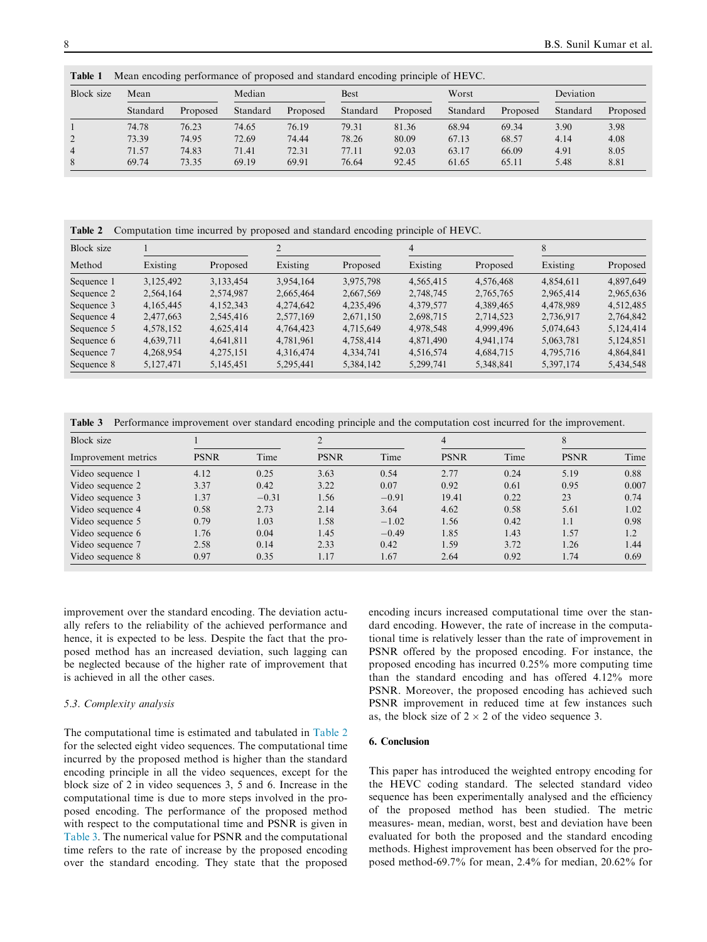Table 1 Mean encoding performance of proposed and standard encoding principle of HEVC.

| Block size     | Mean     |          | Median   |          | Best     |          | Worst    |          | Deviation |          |
|----------------|----------|----------|----------|----------|----------|----------|----------|----------|-----------|----------|
|                | Standard | Proposed | Standard | Proposed | Standard | Proposed | Standard | Proposed | Standard  | Proposed |
|                | 74.78    | 76.23    | 74.65    | 76.19    | 79.31    | 81.36    | 68.94    | 69.34    | 3.90      | 3.98     |
|                | 73.39    | 74.95    | 72.69    | 74.44    | 78.26    | 80.09    | 67.13    | 68.57    | 4.14      | 4.08     |
| $\overline{4}$ | 71.57    | 74.83    | 71.41    | 72.31    | 77.11    | 92.03    | 63.17    | 66.09    | 4.91      | 8.05     |
| 8              | 69.74    | 73.35    | 69.19    | 69.91    | 76.64    | 92.45    | 61.65    | 65.11    | 5.48      | 8.81     |

Table 2 Computation time incurred by proposed and standard encoding principle of HEVC.

| Block size |           |           | $\bigcap$ |           |           |           |           |           |
|------------|-----------|-----------|-----------|-----------|-----------|-----------|-----------|-----------|
| Method     | Existing  | Proposed  | Existing  | Proposed  | Existing  | Proposed  | Existing  | Proposed  |
| Sequence 1 | 3.125.492 | 3.133.454 | 3.954.164 | 3.975.798 | 4.565.415 | 4.576.468 | 4.854.611 | 4.897.649 |
| Sequence 2 | 2,564,164 | 2,574,987 | 2.665.464 | 2,667,569 | 2,748,745 | 2,765,765 | 2.965.414 | 2,965,636 |
| Sequence 3 | 4,165,445 | 4,152,343 | 4.274.642 | 4.235.496 | 4.379.577 | 4,389,465 | 4.478.989 | 4.512.485 |
| Sequence 4 | 2,477,663 | 2,545,416 | 2.577.169 | 2,671,150 | 2,698,715 | 2,714,523 | 2.736.917 | 2,764,842 |
| Sequence 5 | 4,578,152 | 4,625,414 | 4,764,423 | 4,715,649 | 4,978,548 | 4,999,496 | 5,074,643 | 5,124,414 |
| Sequence 6 | 4,639,711 | 4.641.811 | 4.781.961 | 4.758.414 | 4,871,490 | 4.941.174 | 5.063.781 | 5.124.851 |
| Sequence 7 | 4,268,954 | 4,275,151 | 4,316,474 | 4,334,741 | 4,516,574 | 4,684,715 | 4,795,716 | 4,864,841 |
| Sequence 8 | 5,127,471 | 5,145,451 | 5,295,441 | 5,384,142 | 5,299,741 | 5,348,841 | 5,397,174 | 5,434,548 |

Table 3 Performance improvement over standard encoding principle and the computation cost incurred for the improvement.

| Block size          |             |         |             |         |             | 4    |             |       |  |
|---------------------|-------------|---------|-------------|---------|-------------|------|-------------|-------|--|
| Improvement metrics | <b>PSNR</b> | Time    | <b>PSNR</b> | Time    | <b>PSNR</b> | Time | <b>PSNR</b> | Time  |  |
| Video sequence 1    | 4.12        | 0.25    | 3.63        | 0.54    | 2.77        | 0.24 | 5.19        | 0.88  |  |
| Video sequence 2    | 3.37        | 0.42    | 3.22        | 0.07    | 0.92        | 0.61 | 0.95        | 0.007 |  |
| Video sequence 3    | 1.37        | $-0.31$ | 1.56        | $-0.91$ | 19.41       | 0.22 | 23          | 0.74  |  |
| Video sequence 4    | 0.58        | 2.73    | 2.14        | 3.64    | 4.62        | 0.58 | 5.61        | 1.02  |  |
| Video sequence 5    | 0.79        | 1.03    | 1.58        | $-1.02$ | 1.56        | 0.42 | 1.1         | 0.98  |  |
| Video sequence 6    | 1.76        | 0.04    | 1.45        | $-0.49$ | 1.85        | 1.43 | 1.57        | 1.2   |  |
| Video sequence 7    | 2.58        | 0.14    | 2.33        | 0.42    | 1.59        | 3.72 | 1.26        | 1.44  |  |
| Video sequence 8    | 0.97        | 0.35    | 1.17        | 1.67    | 2.64        | 0.92 | 1.74        | 0.69  |  |

improvement over the standard encoding. The deviation actually refers to the reliability of the achieved performance and hence, it is expected to be less. Despite the fact that the proposed method has an increased deviation, such lagging can be neglected because of the higher rate of improvement that is achieved in all the other cases.

# 5.3. Complexity analysis

The computational time is estimated and tabulated in Table 2 for the selected eight video sequences. The computational time incurred by the proposed method is higher than the standard encoding principle in all the video sequences, except for the block size of 2 in video sequences 3, 5 and 6. Increase in the computational time is due to more steps involved in the proposed encoding. The performance of the proposed method with respect to the computational time and PSNR is given in Table 3. The numerical value for PSNR and the computational time refers to the rate of increase by the proposed encoding over the standard encoding. They state that the proposed encoding incurs increased computational time over the standard encoding. However, the rate of increase in the computational time is relatively lesser than the rate of improvement in PSNR offered by the proposed encoding. For instance, the proposed encoding has incurred 0.25% more computing time than the standard encoding and has offered 4.12% more PSNR. Moreover, the proposed encoding has achieved such PSNR improvement in reduced time at few instances such as, the block size of  $2 \times 2$  of the video sequence 3.

# 6. Conclusion

This paper has introduced the weighted entropy encoding for the HEVC coding standard. The selected standard video sequence has been experimentally analysed and the efficiency of the proposed method has been studied. The metric measures- mean, median, worst, best and deviation have been evaluated for both the proposed and the standard encoding methods. Highest improvement has been observed for the proposed method-69.7% for mean, 2.4% for median, 20.62% for